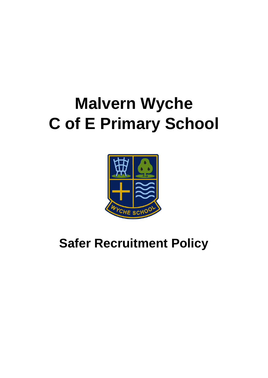# **Malvern Wyche C of E Primary School**



**Safer Recruitment Policy**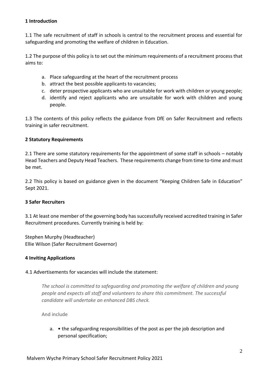#### **1 Introduction**

1.1 The safe recruitment of staff in schools is central to the recruitment process and essential for safeguarding and promoting the welfare of children in Education.

1.2 The purpose of this policy is to set out the minimum requirements of a recruitment process that aims to:

- a. Place safeguarding at the heart of the recruitment process
- b. attract the best possible applicants to vacancies;
- c. deter prospective applicants who are unsuitable for work with children or young people;
- d. identify and reject applicants who are unsuitable for work with children and young people.

1.3 The contents of this policy reflects the guidance from DfE on Safer Recruitment and reflects training in safer recruitment.

#### **2 Statutory Requirements**

2.1 There are some statutory requirements for the appointment of some staff in schools – notably Head Teachers and Deputy Head Teachers. These requirements change from time to-time and must be met.

2.2 This policy is based on guidance given in the document "Keeping Children Safe in Education" Sept 2021.

#### **3 Safer Recruiters**

3.1 At least one member of the governing body has successfully received accredited training in Safer Recruitment procedures. Currently training is held by:

Stephen Murphy (Headteacher) Ellie Wilson (Safer Recruitment Governor)

#### **4 Inviting Applications**

#### 4.1 Advertisements for vacancies will include the statement:

*The school is committed to safeguarding and promoting the welfare of children and young people and expects all staff and volunteers to share this commitment. The successful candidate will undertake an enhanced DBS check.*

And include

a. • the safeguarding responsibilities of the post as per the job description and personal specification;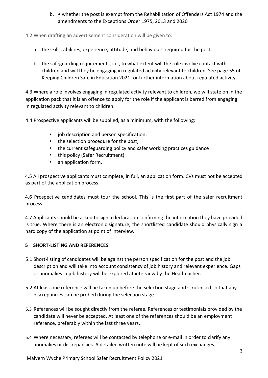b. • whether the post is exempt from the Rehabilitation of Offenders Act 1974 and the amendments to the Exceptions Order 1975, 2013 and 2020

4.2 When drafting an advertisement consideration will be given to:

- a. the skills, abilities, experience, attitude, and behaviours required for the post;
- b. the safeguarding requirements, i.e., to what extent will the role involve contact with children and will they be engaging in regulated activity relevant to children. See page 55 of Keeping Children Safe in Education 2021 for further information about regulated activity.

4.3 Where a role involves engaging in regulated activity relevant to children, we will state on in the application pack that it is an offence to apply for the role if the applicant is barred from engaging in regulated activity relevant to children.

4.4 Prospective applicants will be supplied, as a minimum, with the following:

- job description and person specification;
- the selection procedure for the post;
- the current safeguarding policy and safer working practices guidance
- this policy (Safer Recruitment)
- an application form.

4.5 All prospective applicants must complete, in full, an application form. CVs must not be accepted as part of the application process.

4.6 Prospective candidates must tour the school. This is the first part of the safer recruitment process.

4.7 Applicants should be asked to sign a declaration confirming the information they have provided is true. Where there is an electronic signature, the shortlisted candidate should physically sign a hard copy of the application at point of interview.

#### **5 SHORT-LISTING AND REFERENCES**

- 5.1 Short-listing of candidates will be against the person specification for the post and the job description and will take into account consistency of job history and relevant experience. Gaps or anomalies in job history will be explored at interview by the Headteacher.
- 5.2 At least one reference will be taken up before the selection stage and scrutinised so that any discrepancies can be probed during the selection stage.
- 5.3 References will be sought directly from the referee. References or testimonials provided by the candidate will never be accepted. At least one of the references should be an employment reference, preferably within the last three years.
- 5.4 Where necessary, referees will be contacted by telephone or e-mail in order to clarify any anomalies or discrepancies. A detailed written note will be kept of such exchanges.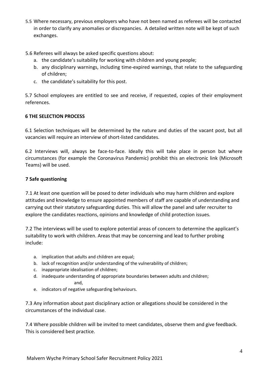- 5.5 Where necessary, previous employers who have not been named as referees will be contacted in order to clarify any anomalies or discrepancies. A detailed written note will be kept of such exchanges.
- 5.6 Referees will always be asked specific questions about:
	- a. the candidate's suitability for working with children and young people;
	- b. any disciplinary warnings, including time-expired warnings, that relate to the safeguarding of children;
	- c. the candidate's suitability for this post.

5.7 School employees are entitled to see and receive, if requested, copies of their employment references.

#### **6 THE SELECTION PROCESS**

6.1 Selection techniques will be determined by the nature and duties of the vacant post, but all vacancies will require an interview of short-listed candidates.

6.2 Interviews will, always be face-to-face. Ideally this will take place in person but where circumstances (for example the Coronavirus Pandemic) prohibit this an electronic link (Microsoft Teams) will be used.

#### **7 Safe questioning**

7.1 At least one question will be posed to deter individuals who may harm children and explore attitudes and knowledge to ensure appointed members of staff are capable of understanding and carrying out their statutory safeguarding duties. This will allow the panel and safer recruiter to explore the candidates reactions, opinions and knowledge of child protection issues.

7.2 The interviews will be used to explore potential areas of concern to determine the applicant's suitability to work with children. Areas that may be concerning and lead to further probing include:

- a. implication that adults and children are equal;
- b. lack of recognition and/or understanding of the vulnerability of children;
- c. inappropriate idealisation of children;
- d. inadequate understanding of appropriate boundaries between adults and children; and,
- e. indicators of negative safeguarding behaviours.

7.3 Any information about past disciplinary action or allegations should be considered in the circumstances of the individual case.

7.4 Where possible children will be invited to meet candidates, observe them and give feedback. This is considered best practice.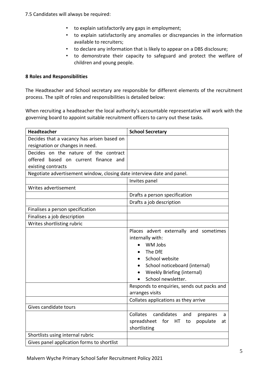- 7.5 Candidates will always be required:
	- to explain satisfactorily any gaps in employment;
	- to explain satisfactorily any anomalies or discrepancies in the information available to recruiters;
	- to declare any information that is likely to appear on a DBS disclosure;
	- to demonstrate their capacity to safeguard and protect the welfare of children and young people.

#### **8 Roles and Responsibilities**

The Headteacher and School secretary are responsible for different elements of the recruitment process. The spilt of roles and responsibilities is detailed below:

When recruiting a headteacher the local authority's accountable representative will work with the governing board to appoint suitable recruitment officers to carry out these tasks.

| <b>Headteacher</b>                                                     | <b>School Secretary</b>                        |
|------------------------------------------------------------------------|------------------------------------------------|
| Decides that a vacancy has arisen based on                             |                                                |
| resignation or changes in need.                                        |                                                |
| Decides on the nature of the contract                                  |                                                |
| offered based on current finance and                                   |                                                |
| existing contracts                                                     |                                                |
| Negotiate advertisement window, closing date interview date and panel. |                                                |
|                                                                        | Invites panel                                  |
| Writes advertisement                                                   |                                                |
|                                                                        | Drafts a person specification                  |
|                                                                        | Drafts a job description                       |
| Finalises a person specification                                       |                                                |
| Finalises a job description                                            |                                                |
| Writes shortlisting rubric                                             |                                                |
|                                                                        | Places advert externally and sometimes         |
|                                                                        | internally with:                               |
|                                                                        | WM Jobs                                        |
|                                                                        | The DfE                                        |
|                                                                        | School website                                 |
|                                                                        | School noticeboard (internal)                  |
|                                                                        | <b>Weekly Briefing (internal)</b>              |
|                                                                        | School newsletter.                             |
|                                                                        | Responds to enquiries, sends out packs and     |
|                                                                        | arranges visits                                |
|                                                                        | Collates applications as they arrive           |
| Gives candidate tours                                                  |                                                |
|                                                                        | Collates<br>candidates<br>and<br>prepares<br>a |
|                                                                        | spreadsheet for HT<br>populate<br>to<br>at     |
|                                                                        | shortlisting                                   |
| Shortlists using internal rubric                                       |                                                |
| Gives panel application forms to shortlist                             |                                                |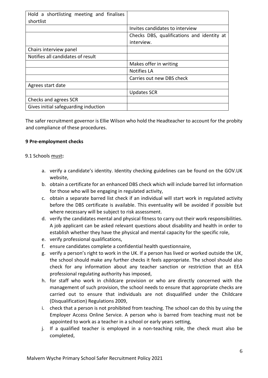| Hold a shortlisting meeting and finalises<br>shortlist |                                            |
|--------------------------------------------------------|--------------------------------------------|
|                                                        | Invites candidates to interview            |
|                                                        | Checks DBS, qualifications and identity at |
|                                                        | interview.                                 |
| Chairs interview panel                                 |                                            |
| Notifies all candidates of result                      |                                            |
|                                                        | Makes offer in writing                     |
|                                                        | Notifies LA                                |
|                                                        | Carries out new DBS check                  |
| Agrees start date                                      |                                            |
|                                                        | <b>Updates SCR</b>                         |
| Checks and agrees SCR                                  |                                            |
| Gives initial safeguarding induction                   |                                            |

The safer recruitment governor is Ellie Wilson who hold the Headteacher to account for the probity and compliance of these procedures.

#### **9 Pre-employment checks**

#### 9.1 Schools must**:**

- a. verify a candidate's identity. Identity checking guidelines can be found on the GOV.UK website,
- b. obtain a certificate for an enhanced DBS check which will include barred list information for those who will be engaging in regulated activity,
- c. obtain a separate barred list check if an individual will start work in regulated activity before the DBS certificate is available. This eventuality will be avoided if possible but where necessary will be subject to risk assessment.
- d. verify the candidates mental and physical fitness to carry out their work responsibilities. A job applicant can be asked relevant questions about disability and health in order to establish whether they have the physical and mental capacity for the specific role,
- e. verify professional qualifications,
- f. ensure candidates complete a confidential health questionnaire,
- g. verify a person's right to work in the UK. If a person has lived or worked outside the UK, the school should make any further checks it feels appropriate. The school should also check for any information about any teacher sanction or restriction that an EEA professional regulating authority has imposed,
- h. for staff who work in childcare provision or who are directly concerned with the management of such provision, the school needs to ensure that appropriate checks are carried out to ensure that individuals are not disqualified under the Childcare (Disqualification) Regulations 2009,
- i. check that a person is not prohibited from teaching. The school can do this by using the Employer Access Online Service. A person who is barred from teaching must not be appointed to work as a teacher in a school or early years setting,
- j. If a qualified teacher is employed in a non-teaching role, the check must also be completed,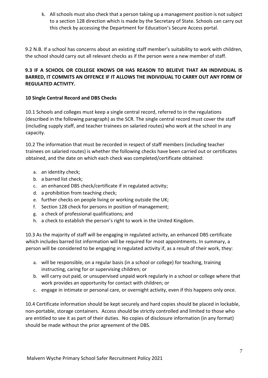k. All schools must also check that a person taking up a management position is not subject to a section 128 direction which is made by the Secretary of State. Schools can carry out this check by accessing the Department for Education's Secure Access portal.

9.2 N.B. If a school has concerns about an existing staff member's suitability to work with children, the school should carry out all relevant checks as if the person were a new member of staff.

# **9.3 IF A SCHOOL OR COLLEGE KNOWS OR HAS REASON TO BELIEVE THAT AN INDIVIDUAL IS BARRED, IT COMMITS AN OFFENCE IF IT ALLOWS THE INDIVIDUAL TO CARRY OUT ANY FORM OF REGULATED ACTIVITY.**

## **10 Single Central Record and DBS Checks**

10.1 Schools and colleges must keep a single central record, referred to in the regulations (described in the following paragraph) as the SCR. The single central record must cover the staff (including supply staff, and teacher trainees on salaried routes) who work at the school in any capacity.

10.2 The information that must be recorded in respect of staff members (including teacher trainees on salaried routes) is whether the following checks have been carried out or certificates obtained, and the date on which each check was completed/certificate obtained:

- a. an identity check;
- b. a barred list check;
- c. an enhanced DBS check/certificate if in regulated activity;
- d. a prohibition from teaching check;
- e. further checks on people living or working outside the UK;
- f. Section 128 check for persons in position of management;
- g. a check of professional qualifications; and
- h. a check to establish the person's right to work in the United Kingdom.

10.3 As the majority of staff will be engaging in regulated activity, an enhanced DBS certificate which includes barred list information will be required for most appointments. In summary, a person will be considered to be engaging in regulated activity if, as a result of their work, they:

- a. will be responsible, on a regular basis (in a school or college) for teaching, training instructing, caring for or supervising children; or
- b. will carry out paid, or unsupervised unpaid work regularly in a school or college where that work provides an opportunity for contact with children; or
- c. engage in intimate or personal care, or overnight activity, even if this happens only once.

10.4 Certificate information should be kept securely and hard copies should be placed in lockable, non-portable, storage containers. Access should be strictly controlled and limited to those who are entitled to see it as part of their duties. No copies of disclosure information (in any format) should be made without the prior agreement of the DBS.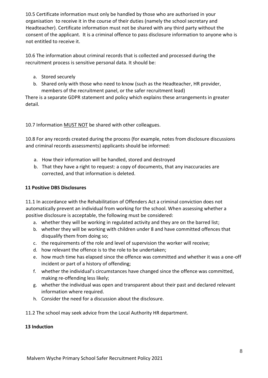10.5 Certificate information must only be handled by those who are authorised in your organisation to receive it in the course of their duties (namely the school secretary and Headteacher). Certificate information must not be shared with any third party without the consent of the applicant. It is a criminal offence to pass disclosure information to anyone who is not entitled to receive it.

10.6 The information about criminal records that is collected and processed during the recruitment process is sensitive personal data. It should be:

- a. Stored securely
- b. Shared only with those who need to know (such as the Headteacher, HR provider, members of the recruitment panel, or the safer recruitment lead)

There is a separate GDPR statement and policy which explains these arrangements in greater detail.

10.7 Information MUST NOT be shared with other colleagues.

10.8 For any records created during the process (for example, notes from disclosure discussions and criminal records assessments) applicants should be informed:

- a. How their information will be handled, stored and destroyed
- b. That they have a right to request: a copy of documents, that any inaccuracies are corrected, and that information is deleted.

## **11 Positive DBS Disclosures**

11.1 In accordance with the Rehabilitation of Offenders Act a criminal conviction does not automatically prevent an individual from working for the school. When assessing whether a positive disclosure is acceptable, the following must be considered:

- a. whether they will be working in regulated activity and they are on the barred list;
- b. whether they will be working with children under 8 and have committed offences that disqualify them from doing so;
- c. the requirements of the role and level of supervision the worker will receive;
- d. how relevant the offence is to the role to be undertaken;
- e. how much time has elapsed since the offence was committed and whether it was a one-off incident or part of a history of offending;
- f. whether the individual's circumstances have changed since the offence was committed, making re-offending less likely;
- g. whether the individual was open and transparent about their past and declared relevant information where required.
- h. Consider the need for a discussion about the disclosure.
- 11.2 The school may seek advice from the Local Authority HR department.

#### **13 Induction**